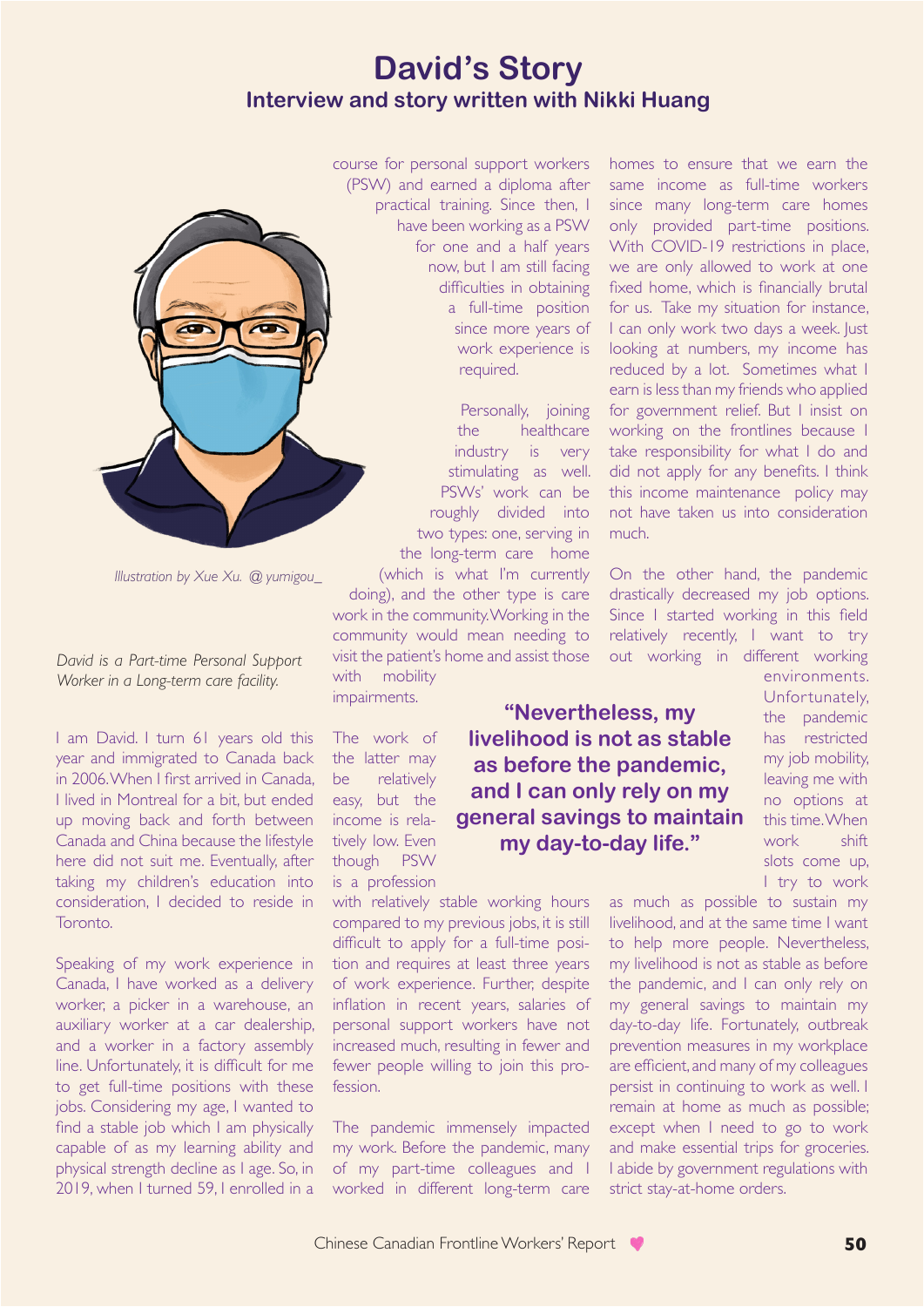## **David's Story Interview and story written with Nikki Huang**



*Illustration by Xue Xu. @ yumigou\_*

*David is a Part-time Personal Support Worker in a Long-term care facility.* 

I am David. I turn 61 years old this year and immigrated to Canada back in 2006. When I first arrived in Canada, I lived in Montreal for a bit, but ended up moving back and forth between Canada and China because the lifestyle here did not suit me. Eventually, after taking my children's education into consideration, I decided to reside in Toronto.

Speaking of my work experience in Canada, I have worked as a delivery worker, a picker in a warehouse, an auxiliary worker at a car dealership, and a worker in a factory assembly line. Unfortunately, it is difficult for me to get full-time positions with these jobs. Considering my age, I wanted to find a stable job which I am physically capable of as my learning ability and physical strength decline as I age. So, in 2019, when I turned 59, I enrolled in a

course for personal support workers (PSW) and earned a diploma after practical training. Since then, I have been working as a PSW for one and a half years now, but I am still facing difficulties in obtaining a full-time position since more years of work experience is required.

> Personally, joining the healthcare industry is very stimulating as well. PSWs' work can be roughly divided into two types: one, serving in the long-term care home (which is what I'm currently

> > **"Nevertheless, my livelihood is not as stable as before the pandemic, and I can only rely on my general savings to maintain my day-to-day life."**

doing), and the other type is care work in the community. Working in the community would mean needing to visit the patient's home and assist those with mobility impairments.

The work of the latter may be relatively easy, but the income is relatively low. Even though PSW is a profession

with relatively stable working hours compared to my previous jobs, it is still difficult to apply for a full-time position and requires at least three years of work experience. Further, despite inflation in recent years, salaries of personal support workers have not increased much, resulting in fewer and fewer people willing to join this profession.

The pandemic immensely impacted my work. Before the pandemic, many of my part-time colleagues and I worked in different long-term care

homes to ensure that we earn the same income as full-time workers since many long-term care homes only provided part-time positions. With COVID-19 restrictions in place, we are only allowed to work at one fixed home, which is financially brutal for us. Take my situation for instance, I can only work two days a week. Just looking at numbers, my income has reduced by a lot. Sometimes what I earn is less than my friends who applied for government relief. But I insist on working on the frontlines because I take responsibility for what I do and did not apply for any benefits. I think this income maintenance policy may not have taken us into consideration much.

On the other hand, the pandemic drastically decreased my job options. Since I started working in this field relatively recently, I want to try out working in different working

> environments. Unfortunately, the pandemic has restricted my job mobility, leaving me with no options at this time. When work shift slots come up, I try to work

as much as possible to sustain my livelihood, and at the same time I want to help more people. Nevertheless, my livelihood is not as stable as before the pandemic, and I can only rely on my general savings to maintain my day-to-day life. Fortunately, outbreak prevention measures in my workplace are efficient, and many of my colleagues persist in continuing to work as well. I remain at home as much as possible; except when I need to go to work and make essential trips for groceries. I abide by government regulations with strict stay-at-home orders.